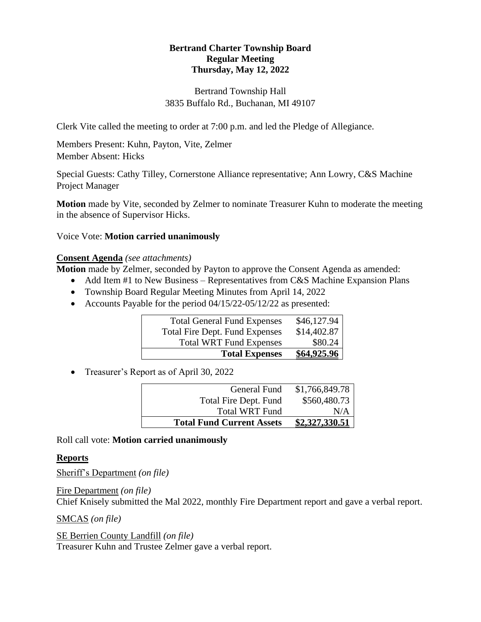# **Bertrand Charter Township Board Regular Meeting Thursday, May 12, 2022**

# Bertrand Township Hall 3835 Buffalo Rd., Buchanan, MI 49107

Clerk Vite called the meeting to order at 7:00 p.m. and led the Pledge of Allegiance.

Members Present: Kuhn, Payton, Vite, Zelmer Member Absent: Hicks

Special Guests: Cathy Tilley, Cornerstone Alliance representative; Ann Lowry, C&S Machine Project Manager

**Motion** made by Vite, seconded by Zelmer to nominate Treasurer Kuhn to moderate the meeting in the absence of Supervisor Hicks.

## Voice Vote: **Motion carried unanimously**

# **Consent Agenda** *(see attachments)*

**Motion** made by Zelmer, seconded by Payton to approve the Consent Agenda as amended:

- Add Item #1 to New Business Representatives from C&S Machine Expansion Plans
- Township Board Regular Meeting Minutes from April 14, 2022
- Accounts Payable for the period 04/15/22-05/12/22 as presented:

| <b>Total General Fund Expenses</b>    | \$46,127.94 |
|---------------------------------------|-------------|
| <b>Total Fire Dept. Fund Expenses</b> | \$14,402.87 |
| <b>Total WRT Fund Expenses</b>        | \$80.24     |
| <b>Total Expenses</b>                 | \$64,925.96 |

• Treasurer's Report as of April 30, 2022

| <b>Total Fund Current Assets</b> | <u>\$2,327,330.51</u> |
|----------------------------------|-----------------------|
| <b>Total WRT Fund</b>            | N/A                   |
| Total Fire Dept. Fund            | \$560,480.73          |
| General Fund                     | \$1,766,849.78        |

Roll call vote: **Motion carried unanimously**

## **Reports**

Sheriff's Department *(on file)*

Fire Department *(on file)* Chief Knisely submitted the Mal 2022, monthly Fire Department report and gave a verbal report.

SMCAS *(on file)*

SE Berrien County Landfill *(on file)* Treasurer Kuhn and Trustee Zelmer gave a verbal report.